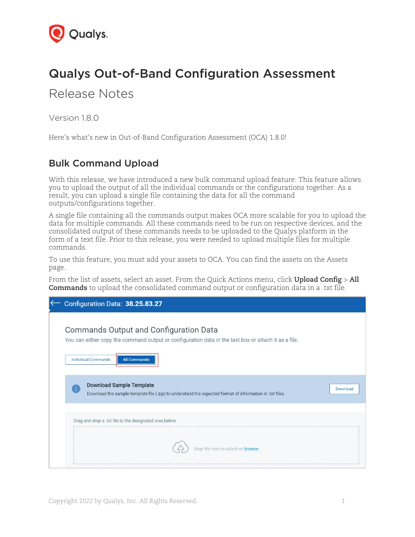

## Qualys Out-of-Band Configuration Assessment

Release Notes

Version 1.8.0

Here's what's new in Out-of-Band Configuration Assessment (OCA) 1.8.0!

## Bulk Command Upload

With this release, we have introduced a new bulk command upload feature. This feature allows you to upload the output of all the individual commands or the configurations together. As a result, you can upload a single file containing the data for all the command outputs/configurations together.

A single file containing all the commands output makes OCA more scalable for you to upload the data for multiple commands. All these commands need to be run on respective devices, and the consolidated output of these commands needs to be uploaded to the Qualys platform in the form of a text file. Prior to this release, you were needed to upload multiple files for multiple commands.

To use this feature, you must add your assets to OCA. You can find the assets on the Assets page.

From the list of assets, select an asset. From the Quick Actions menu, click **Upload Config** > **All Commands** to upload the consolidated command output or configuration data in a *.txt* file.

| Configuration Data: 38.25.83.27                                                                                                                                                                            |          |
|------------------------------------------------------------------------------------------------------------------------------------------------------------------------------------------------------------|----------|
| <b>Commands Output and Configuration Data</b><br>You can either copy the command output or configuration data in the text box or attach it as a file.<br><b>Individual Commands</b><br><b>All Commands</b> |          |
| <b>Download Sample Template</b><br>Download the sample template file (.zip) to understand the expected format of information in .txt files.                                                                | Download |
| Drag and drop a .txt file to the designated area below<br>Drop file here to attach or browse                                                                                                               |          |
|                                                                                                                                                                                                            |          |